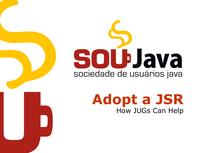# SobJava sociedade de usuários java

#### **Adopt a JSR** How JUGs Can Help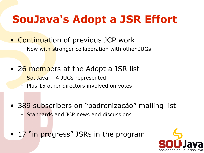## **SouJava's Adopt a JSR Effort**

- Continuation of previous JCP work
	- Now with stronger collaboration with other JUGs
- 26 members at the Adopt a JSR list
	- SouJava + 4 JUGs represented
	- Plus 15 other directors involved on votes
- 389 subscribers on "padronização" mailing list – Standards and JCP news and discussions
- 17 "in progress" JSRs in the program

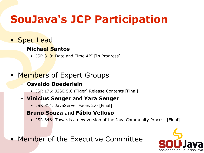#### **SouJava's JCP Participation**

#### • Spec Lead

- **Michael Santos**
	- JSR 310: Date and Time API [In Progress]

#### • Members of Expert Groups

#### – **Osvaldo Doederlein**

- JSR 176: J2SE 5.0 (Tiger) Release Contents [Final]
- **Vinicius Senger** and **Yara Senger**
	- JSR 314: JavaServer Faces 2.0 [Final]
- **Bruno Souza** and **Fábio Velloso**
	- JSR 348: Towards a new version of the Java Community Process [Final]
- Member of the Executive Committee

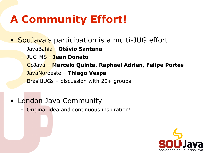## **A Community Effort!**

#### • SouJava's participation is a multi-JUG effort

- JavaBahia **Otávio Santana**
- JUG-MS **Jean Donato**
- GoJava **Marcelo Quinta**, **Raphael Adrien, Felipe Portes**
- JavaNoroeste **Thiago Vespa**
- BrasilJUGs discussion with 20+ groups
- London Java Community
	- Original idea and continuous inspiration!

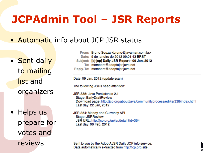## **JCPAdmin Tool – JSR Reports**

• Automatic info about JCP JSR status

• Sent daily to mailing list and organizers

• Helps us prepare for votes and reviews

From: Bruno Souza <bruno@iavaman.com.br> Date: 9 de janeiro de 2012 09:01:43 BRST Subject: [sj-jcp] Daily JSR Report - 09 Jan, 2012

- To: members@adoptajsr.java.net
- Reply-To: members@adoptajsr.java.net

Date: 09 Jan, 2012 (update scan)

The following JSRs need attention:

**JSR 338: Java Persistence 2.1** Stage: EarlyDraftReview Download page: http://jcp.org/aboutJava/communityprocess/edr/jsr338/index.html Last day: 22 Jan, 2012

ъ

JSR 354: Money and Currency API Stage: JSRReview JSR URL: http://icp.org/en/jsr/detail?id=354 Last day: 06 Feb, 2012

Sent to you by the AdoptAJSR Daily JCP info service. Data automatically extracted from http://jcp.org site.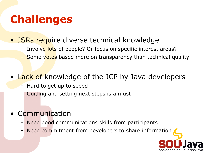## **Challenges**

- JSRs require diverse technical knowledge
	- Involve lots of people? Or focus on specific interest areas?
	- Some votes based more on transparency than technical quality
- Lack of knowledge of the JCP by Java developers
	- Hard to get up to speed
	- Guiding and setting next steps is a must
- Communication
	- Need good communications skills from participants
	- Need commitment from developers to share information

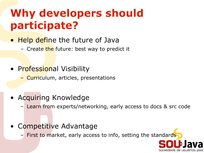## **Why developers should participate?**

- Help define the future of Java
	- Create the future: best way to predict it
- Professional Visibility
	- Curriculum, articles, presentations
- Acquiring Knowledge
	- Learn from experts/networking, early access to docs & src code

sociedade de usuários java

- Competitive Advantage
	- First to market, early access to info, setting the standards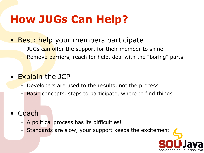#### **How JUGs Can Help?**

- Best: help your members participate
	- JUGs can offer the support for their member to shine
	- Remove barriers, reach for help, deal with the "boring" parts
- Explain the JCP
	- Developers are used to the results, not the process
	- Basic concepts, steps to participate, where to find things
- Coach
	- A political process has its difficulties!
	- Standards are slow, your support keeps the excitement

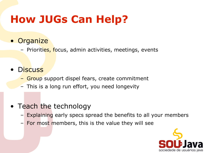#### **How JUGs Can Help?**

- Organize
	- Priorities, focus, admin activities, meetings, events
- Discuss
	- Group support dispel fears, create commitment
	- This is a long run effort, you need longevity
- Teach the technology
	- Explaining early specs spread the benefits to all your members
	- For most members, this is the value they will see

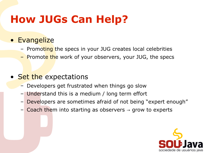#### **How JUGs Can Help?**

#### • Evangelize

- Promoting the specs in your JUG creates local celebrities
- Promote the work of your observers, your JUG, the specs
- Set the expectations
	- Developers get frustrated when things go slow
	- Understand this is a medium / long term effort
	- Developers are sometimes afraid of not being "expert enough"
	- Coach them into starting as observers  $\rightarrow$  grow to experts

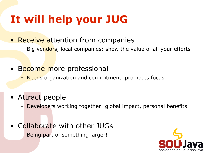## **It will help your JUG**

- Receive attention from companies
	- Big vendors, local companies: show the value of all your efforts
- Become more professional
	- Needs organization and commitment, promotes focus
- Attract people
	- Developers working together: global impact, personal benefits
- Collaborate with other JUGs
	- Being part of something larger!